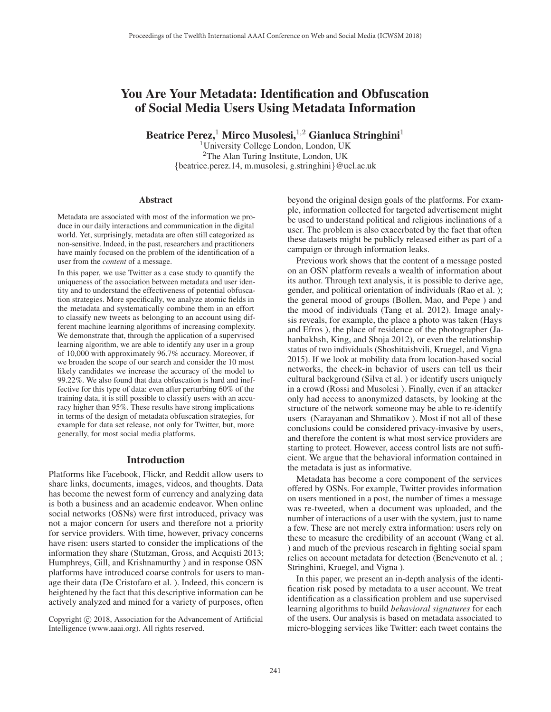# You Are Your Metadata: Identification and Obfuscation of Social Media Users Using Metadata Information

Beatrice Perez,<sup>1</sup> Mirco Musolesi,<sup>1,2</sup> Gianluca Stringhini<sup>1</sup>

<sup>1</sup>University College London, London, UK <sup>2</sup>The Alan Turing Institute, London, UK {beatrice.perez.14, m.musolesi, g.stringhini}@ucl.ac.uk

#### **Abstract**

Metadata are associated with most of the information we produce in our daily interactions and communication in the digital world. Yet, surprisingly, metadata are often still categorized as non-sensitive. Indeed, in the past, researchers and practitioners have mainly focused on the problem of the identification of a user from the *content* of a message.

In this paper, we use Twitter as a case study to quantify the uniqueness of the association between metadata and user identity and to understand the effectiveness of potential obfuscation strategies. More specifically, we analyze atomic fields in the metadata and systematically combine them in an effort to classify new tweets as belonging to an account using different machine learning algorithms of increasing complexity. We demonstrate that, through the application of a supervised learning algorithm, we are able to identify any user in a group of 10,000 with approximately 96.7% accuracy. Moreover, if we broaden the scope of our search and consider the 10 most likely candidates we increase the accuracy of the model to 99.22%. We also found that data obfuscation is hard and ineffective for this type of data: even after perturbing 60% of the training data, it is still possible to classify users with an accuracy higher than 95%. These results have strong implications in terms of the design of metadata obfuscation strategies, for example for data set release, not only for Twitter, but, more generally, for most social media platforms.

### Introduction

Platforms like Facebook, Flickr, and Reddit allow users to share links, documents, images, videos, and thoughts. Data has become the newest form of currency and analyzing data is both a business and an academic endeavor. When online social networks (OSNs) were first introduced, privacy was not a major concern for users and therefore not a priority for service providers. With time, however, privacy concerns have risen: users started to consider the implications of the information they share (Stutzman, Gross, and Acquisti 2013; Humphreys, Gill, and Krishnamurthy ) and in response OSN platforms have introduced coarse controls for users to manage their data (De Cristofaro et al. ). Indeed, this concern is heightened by the fact that this descriptive information can be actively analyzed and mined for a variety of purposes, often

beyond the original design goals of the platforms. For example, information collected for targeted advertisement might be used to understand political and religious inclinations of a user. The problem is also exacerbated by the fact that often these datasets might be publicly released either as part of a campaign or through information leaks.

Previous work shows that the content of a message posted on an OSN platform reveals a wealth of information about its author. Through text analysis, it is possible to derive age, gender, and political orientation of individuals (Rao et al. ); the general mood of groups (Bollen, Mao, and Pepe ) and the mood of individuals (Tang et al. 2012). Image analysis reveals, for example, the place a photo was taken (Hays and Efros ), the place of residence of the photographer (Jahanbakhsh, King, and Shoja 2012), or even the relationship status of two individuals (Shoshitaishvili, Kruegel, and Vigna 2015). If we look at mobility data from location-based social networks, the check-in behavior of users can tell us their cultural background (Silva et al. ) or identify users uniquely in a crowd (Rossi and Musolesi ). Finally, even if an attacker only had access to anonymized datasets, by looking at the structure of the network someone may be able to re-identify users (Narayanan and Shmatikov ). Most if not all of these conclusions could be considered privacy-invasive by users, and therefore the content is what most service providers are starting to protect. However, access control lists are not sufficient. We argue that the behavioral information contained in the metadata is just as informative.

Metadata has become a core component of the services offered by OSNs. For example, Twitter provides information on users mentioned in a post, the number of times a message was re-tweeted, when a document was uploaded, and the number of interactions of a user with the system, just to name a few. These are not merely extra information: users rely on these to measure the credibility of an account (Wang et al. ) and much of the previous research in fighting social spam relies on account metadata for detection (Benevenuto et al. ; Stringhini, Kruegel, and Vigna ).

In this paper, we present an in-depth analysis of the identification risk posed by metadata to a user account. We treat identification as a classification problem and use supervised learning algorithms to build *behavioral signatures* for each of the users. Our analysis is based on metadata associated to micro-blogging services like Twitter: each tweet contains the

Copyright  $\odot$  2018, Association for the Advancement of Artificial Intelligence (www.aaai.org). All rights reserved.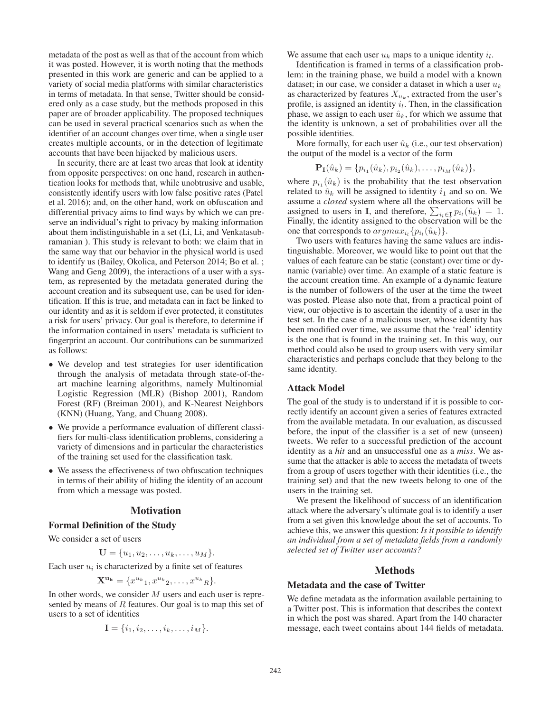metadata of the post as well as that of the account from which it was posted. However, it is worth noting that the methods presented in this work are generic and can be applied to a variety of social media platforms with similar characteristics in terms of metadata. In that sense, Twitter should be considered only as a case study, but the methods proposed in this paper are of broader applicability. The proposed techniques can be used in several practical scenarios such as when the identifier of an account changes over time, when a single user creates multiple accounts, or in the detection of legitimate accounts that have been hijacked by malicious users.

In security, there are at least two areas that look at identity from opposite perspectives: on one hand, research in authentication looks for methods that, while unobtrusive and usable, consistently identify users with low false positive rates (Patel et al. 2016); and, on the other hand, work on obfuscation and differential privacy aims to find ways by which we can preserve an individual's right to privacy by making information about them indistinguishable in a set (Li, Li, and Venkatasubramanian ). This study is relevant to both: we claim that in the same way that our behavior in the physical world is used to identify us (Bailey, Okolica, and Peterson 2014; Bo et al. ; Wang and Geng 2009), the interactions of a user with a system, as represented by the metadata generated during the account creation and its subsequent use, can be used for identification. If this is true, and metadata can in fact be linked to our identity and as it is seldom if ever protected, it constitutes a risk for users' privacy. Our goal is therefore, to determine if the information contained in users' metadata is sufficient to fingerprint an account. Our contributions can be summarized as follows:

- We develop and test strategies for user identification through the analysis of metadata through state-of-theart machine learning algorithms, namely Multinomial Logistic Regression (MLR) (Bishop 2001), Random Forest (RF) (Breiman 2001), and K-Nearest Neighbors (KNN) (Huang, Yang, and Chuang 2008).
- We provide a performance evaluation of different classifiers for multi-class identification problems, considering a variety of dimensions and in particular the characteristics of the training set used for the classification task.
- We assess the effectiveness of two obfuscation techniques in terms of their ability of hiding the identity of an account from which a message was posted.

### **Motivation**

### Formal Definition of the Study

We consider a set of users

$$
\mathbf{U} = \{u_1, u_2, \dots, u_k, \dots, u_M\}.
$$

Each user  $u_i$  is characterized by a finite set of features

$$
\mathbf{X}^{\mathbf{u}_{\mathbf{k}}} = \{x^{u_{k}}_{1}, x^{u_{k}}_{2}, \ldots, x^{u_{k}}_{R}\}.
$$

In other words, we consider  $M$  users and each user is repre-<br>sented by means of  $B$  features. Our goal is to man this set of sented by means of  $R$  features. Our goal is to map this set of users to a set of identities

$$
\mathbf{I} = \{i_1, i_2, \ldots, i_k, \ldots, i_M\}.
$$

We assume that each user  $u_k$  maps to a unique identity  $i_l$ .

Identification is framed in terms of a classification problem: in the training phase, we build a model with a known dataset; in our case, we consider a dataset in which a user  $u_k$ as characterized by features  $X_{u_k}$ , extracted from the user's profile, is assigned an identity  $i_l$ . Then, in the classification phase, we assign to each user  $\hat{u}_k$ , for which we assume that the identity is unknown, a set of probabilities over all the possible identities.

More formally, for each user  $\hat{u}_k$  (i.e., our test observation) the output of the model is a vector of the form

$$
\mathbf{P}_{\mathbf{I}}(\hat{u}_k) = \{p_{i_1}(\hat{u}_k), p_{i_2}(\hat{u}_k), \dots, p_{i_M}(\hat{u}_k)\},\
$$

where  $p_{i_1}(\hat{u}_k)$  is the probability that the test observation<br>related to  $\hat{u}_k$  will be assigned to identity  $i_1$  and so on We related to  $\hat{u}_k$  will be assigned to identity  $i_1$  and so on. We assume a *closed* system where all the observations will be assigned to users in **I**, and therefore,  $\sum_{i_l \in \mathbf{I}} p_{i_l}(\hat{u}_k) = 1$ .<br>Finally the identity assigned to the observation will be the Finally, the identity assigned to the observation will be the one that corresponds to  $argmax_{i_l} {p_{i_l}(\hat{u}_k)}$ .

Two users with features having the same values are indistinguishable. Moreover, we would like to point out that the values of each feature can be static (constant) over time or dynamic (variable) over time. An example of a static feature is the account creation time. An example of a dynamic feature is the number of followers of the user at the time the tweet was posted. Please also note that, from a practical point of view, our objective is to ascertain the identity of a user in the test set. In the case of a malicious user, whose identity has been modified over time, we assume that the 'real' identity is the one that is found in the training set. In this way, our method could also be used to group users with very similar characteristics and perhaps conclude that they belong to the same identity.

### Attack Model

The goal of the study is to understand if it is possible to correctly identify an account given a series of features extracted from the available metadata. In our evaluation, as discussed before, the input of the classifier is a set of new (unseen) tweets. We refer to a successful prediction of the account identity as a *hit* and an unsuccessful one as a *miss*. We assume that the attacker is able to access the metadata of tweets from a group of users together with their identities (i.e., the training set) and that the new tweets belong to one of the users in the training set.

We present the likelihood of success of an identification attack where the adversary's ultimate goal is to identify a user from a set given this knowledge about the set of accounts. To achieve this, we answer this question: *Is it possible to identify an individual from a set of metadata fields from a randomly selected set of Twitter user accounts?*

### **Methods**

# Metadata and the case of Twitter

We define metadata as the information available pertaining to a Twitter post. This is information that describes the context in which the post was shared. Apart from the 140 character message, each tweet contains about 144 fields of metadata.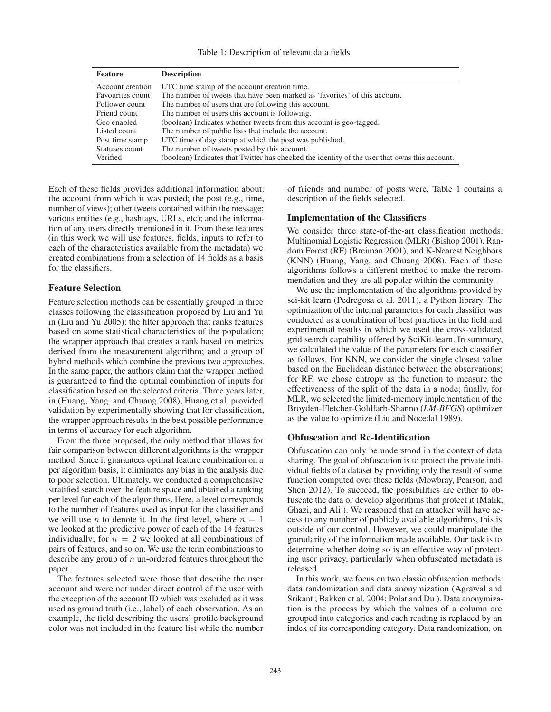Table 1: Description of relevant data fields.

| <b>Feature</b>   | <b>Description</b>                                                                            |  |
|------------------|-----------------------------------------------------------------------------------------------|--|
| Account creation | UTC time stamp of the account creation time.                                                  |  |
| Favourites count | The number of tweets that have been marked as 'favorites' of this account.                    |  |
| Follower count   | The number of users that are following this account.                                          |  |
| Friend count     | The number of users this account is following.                                                |  |
| Geo enabled      | (boolean) Indicates whether tweets from this account is geo-tagged.                           |  |
| Listed count     | The number of public lists that include the account.                                          |  |
| Post time stamp  | UTC time of day stamp at which the post was published.                                        |  |
| Statuses count   | The number of tweets posted by this account.                                                  |  |
| Verified         | (boolean) Indicates that Twitter has checked the identity of the user that owns this account. |  |

Each of these fields provides additional information about: the account from which it was posted; the post (e.g., time, number of views); other tweets contained within the message; various entities (e.g., hashtags, URLs, etc); and the information of any users directly mentioned in it. From these features (in this work we will use features, fields, inputs to refer to each of the characteristics available from the metadata) we created combinations from a selection of 14 fields as a basis for the classifiers.

### Feature Selection

Feature selection methods can be essentially grouped in three classes following the classification proposed by Liu and Yu in (Liu and Yu 2005): the filter approach that ranks features based on some statistical characteristics of the population; the wrapper approach that creates a rank based on metrics derived from the measurement algorithm; and a group of hybrid methods which combine the previous two approaches. In the same paper, the authors claim that the wrapper method is guaranteed to find the optimal combination of inputs for classification based on the selected criteria. Three years later, in (Huang, Yang, and Chuang 2008), Huang et al. provided validation by experimentally showing that for classification, the wrapper approach results in the best possible performance in terms of accuracy for each algorithm.

From the three proposed, the only method that allows for fair comparison between different algorithms is the wrapper method. Since it guarantees optimal feature combination on a per algorithm basis, it eliminates any bias in the analysis due to poor selection. Ultimately, we conducted a comprehensive stratified search over the feature space and obtained a ranking per level for each of the algorithms. Here, a level corresponds to the number of features used as input for the classifier and we will use *n* to denote it. In the first level, where  $n = 1$ we looked at the predictive power of each of the 14 features individually; for  $n = 2$  we looked at all combinations of pairs of features, and so on. We use the term combinations to describe any group of  $n$  un-ordered features throughout the paper.

The features selected were those that describe the user account and were not under direct control of the user with the exception of the account ID which was excluded as it was used as ground truth (i.e., label) of each observation. As an example, the field describing the users' profile background color was not included in the feature list while the number of friends and number of posts were. Table 1 contains a description of the fields selected.

### Implementation of the Classifiers

We consider three state-of-the-art classification methods: Multinomial Logistic Regression (MLR) (Bishop 2001), Random Forest (RF) (Breiman 2001), and K-Nearest Neighbors (KNN) (Huang, Yang, and Chuang 2008). Each of these algorithms follows a different method to make the recommendation and they are all popular within the community.

We use the implementation of the algorithms provided by sci-kit learn (Pedregosa et al. 2011), a Python library. The optimization of the internal parameters for each classifier was conducted as a combination of best practices in the field and experimental results in which we used the cross-validated grid search capability offered by SciKit-learn. In summary, we calculated the value of the parameters for each classifier as follows. For KNN, we consider the single closest value based on the Euclidean distance between the observations; for RF, we chose entropy as the function to measure the effectiveness of the split of the data in a node; finally, for MLR, we selected the limited-memory implementation of the Broyden-Fletcher-Goldfarb-Shanno (*LM-BFGS*) optimizer as the value to optimize (Liu and Nocedal 1989).

#### Obfuscation and Re-Identification

Obfuscation can only be understood in the context of data sharing. The goal of obfuscation is to protect the private individual fields of a dataset by providing only the result of some function computed over these fields (Mowbray, Pearson, and Shen 2012). To succeed, the possibilities are either to obfuscate the data or develop algorithms that protect it (Malik, Ghazi, and Ali ). We reasoned that an attacker will have access to any number of publicly available algorithms, this is outside of our control. However, we could manipulate the granularity of the information made available. Our task is to determine whether doing so is an effective way of protecting user privacy, particularly when obfuscated metadata is released.

In this work, we focus on two classic obfuscation methods: data randomization and data anonymization (Agrawal and Srikant ; Bakken et al. 2004; Polat and Du ). Data anonymization is the process by which the values of a column are grouped into categories and each reading is replaced by an index of its corresponding category. Data randomization, on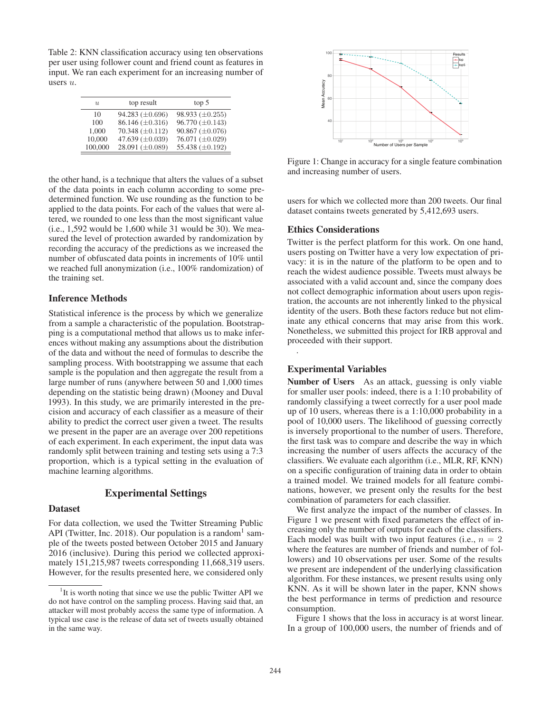Table 2: KNN classification accuracy using ten observations per user using follower count and friend count as features in input. We ran each experiment for an increasing number of users u.

| $\mathcal{U}$ | top result           | top 5                  |
|---------------|----------------------|------------------------|
| 10            | 94.283 $(\pm 0.696)$ | 98.933 $(\pm 0.255)$   |
| 100           | 86.146 $(\pm 0.316)$ | $96.770 \ (\pm 0.143)$ |
| 1.000         | 70.348 $(\pm 0.112)$ | $90.867 \ (\pm 0.076)$ |
| 10,000        | 47.639 $(\pm 0.039)$ | 76.071 $(\pm 0.029)$   |
| 100,000       | 28.091 $(\pm 0.089)$ | 55.438 $(\pm 0.192)$   |

the other hand, is a technique that alters the values of a subset of the data points in each column according to some predetermined function. We use rounding as the function to be applied to the data points. For each of the values that were altered, we rounded to one less than the most significant value (i.e., 1,592 would be 1,600 while 31 would be 30). We measured the level of protection awarded by randomization by recording the accuracy of the predictions as we increased the number of obfuscated data points in increments of 10% until we reached full anonymization (i.e., 100% randomization) of the training set.

### Inference Methods

Statistical inference is the process by which we generalize from a sample a characteristic of the population. Bootstrapping is a computational method that allows us to make inferences without making any assumptions about the distribution of the data and without the need of formulas to describe the sampling process. With bootstrapping we assume that each sample is the population and then aggregate the result from a large number of runs (anywhere between 50 and 1,000 times depending on the statistic being drawn) (Mooney and Duval 1993). In this study, we are primarily interested in the precision and accuracy of each classifier as a measure of their ability to predict the correct user given a tweet. The results we present in the paper are an average over 200 repetitions of each experiment. In each experiment, the input data was randomly split between training and testing sets using a 7:3 proportion, which is a typical setting in the evaluation of machine learning algorithms.

### Experimental Settings

### Dataset

For data collection, we used the Twitter Streaming Public API (Twitter, Inc. 2018). Our population is a random<sup>1</sup> sample of the tweets posted between October 2015 and January 2016 (inclusive). During this period we collected approximately 151,215,987 tweets corresponding 11,668,319 users. However, for the results presented here, we considered only



Figure 1: Change in accuracy for a single feature combination and increasing number of users.

users for which we collected more than 200 tweets. Our final dataset contains tweets generated by 5,412,693 users.

#### Ethics Considerations

Twitter is the perfect platform for this work. On one hand, users posting on Twitter have a very low expectation of privacy: it is in the nature of the platform to be open and to reach the widest audience possible. Tweets must always be associated with a valid account and, since the company does not collect demographic information about users upon registration, the accounts are not inherently linked to the physical identity of the users. Both these factors reduce but not eliminate any ethical concerns that may arise from this work. Nonetheless, we submitted this project for IRB approval and proceeded with their support.

#### Experimental Variables

.

Number of Users As an attack, guessing is only viable for smaller user pools: indeed, there is a 1:10 probability of randomly classifying a tweet correctly for a user pool made up of 10 users, whereas there is a 1:10,000 probability in a pool of 10,000 users. The likelihood of guessing correctly is inversely proportional to the number of users. Therefore, the first task was to compare and describe the way in which increasing the number of users affects the accuracy of the classifiers. We evaluate each algorithm (i.e., MLR, RF, KNN) on a specific configuration of training data in order to obtain a trained model. We trained models for all feature combinations, however, we present only the results for the best combination of parameters for each classifier.

We first analyze the impact of the number of classes. In Figure 1 we present with fixed parameters the effect of increasing only the number of outputs for each of the classifiers. Each model was built with two input features (i.e.,  $n = 2$ ) where the features are number of friends and number of followers) and 10 observations per user. Some of the results we present are independent of the underlying classification algorithm. For these instances, we present results using only KNN. As it will be shown later in the paper, KNN shows the best performance in terms of prediction and resource consumption.

Figure 1 shows that the loss in accuracy is at worst linear. In a group of 100,000 users, the number of friends and of

<sup>&</sup>lt;sup>1</sup>It is worth noting that since we use the public Twitter API we do not have control on the sampling process. Having said that, an attacker will most probably access the same type of information. A typical use case is the release of data set of tweets usually obtained in the same way.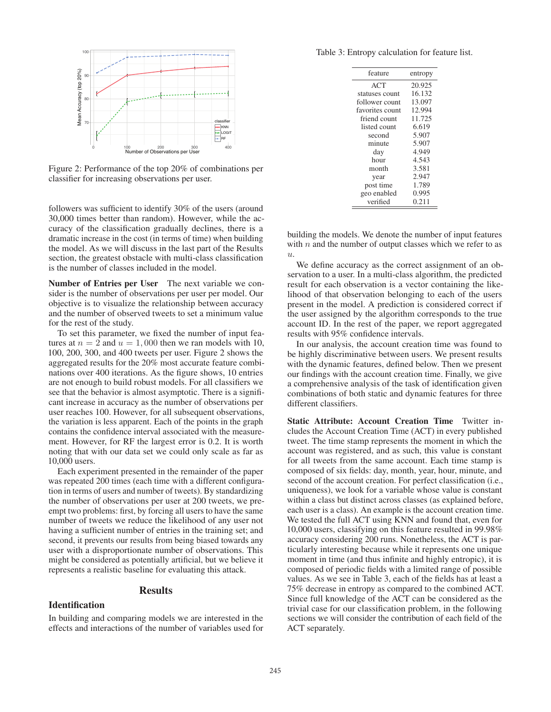

Figure 2: Performance of the top 20% of combinations per classifier for increasing observations per user.

followers was sufficient to identify 30% of the users (around 30,000 times better than random). However, while the accuracy of the classification gradually declines, there is a dramatic increase in the cost (in terms of time) when building the model. As we will discuss in the last part of the Results section, the greatest obstacle with multi-class classification is the number of classes included in the model.

Number of Entries per User The next variable we consider is the number of observations per user per model. Our objective is to visualize the relationship between accuracy and the number of observed tweets to set a minimum value for the rest of the study.

To set this parameter, we fixed the number of input features at  $n = 2$  and  $u = 1,000$  then we ran models with 10, 100, 200, 300, and 400 tweets per user. Figure 2 shows the aggregated results for the 20% most accurate feature combinations over 400 iterations. As the figure shows, 10 entries are not enough to build robust models. For all classifiers we see that the behavior is almost asymptotic. There is a significant increase in accuracy as the number of observations per user reaches 100. However, for all subsequent observations, the variation is less apparent. Each of the points in the graph contains the confidence interval associated with the measurement. However, for RF the largest error is 0.2. It is worth noting that with our data set we could only scale as far as 10,000 users.

Each experiment presented in the remainder of the paper was repeated 200 times (each time with a different configuration in terms of users and number of tweets). By standardizing the number of observations per user at 200 tweets, we preempt two problems: first, by forcing all users to have the same number of tweets we reduce the likelihood of any user not having a sufficient number of entries in the training set; and second, it prevents our results from being biased towards any user with a disproportionate number of observations. This might be considered as potentially artificial, but we believe it represents a realistic baseline for evaluating this attack.

#### **Results**

#### **Identification**

In building and comparing models we are interested in the effects and interactions of the number of variables used for

Table 3: Entropy calculation for feature list.

| feature         | entropy |
|-----------------|---------|
| <b>ACT</b>      | 20.925  |
| statuses count  | 16.132  |
| follower count  | 13.097  |
| favorites count | 12.994  |
| friend count    | 11.725  |
| listed count    | 6.619   |
| second          | 5.907   |
| minute          | 5.907   |
| day             | 4.949   |
| hour            | 4.543   |
| month           | 3.581   |
| year            | 2.947   |
| post time       | 1.789   |
| geo enabled     | 0.995   |
| verified        | 0.211   |

building the models. We denote the number of input features with  $n$  and the number of output classes which we refer to as u.

We define accuracy as the correct assignment of an observation to a user. In a multi-class algorithm, the predicted result for each observation is a vector containing the likelihood of that observation belonging to each of the users present in the model. A prediction is considered correct if the user assigned by the algorithm corresponds to the true account ID. In the rest of the paper, we report aggregated results with 95% confidence intervals.

In our analysis, the account creation time was found to be highly discriminative between users. We present results with the dynamic features, defined below. Then we present our findings with the account creation time. Finally, we give a comprehensive analysis of the task of identification given combinations of both static and dynamic features for three different classifiers.

Static Attribute: Account Creation Time Twitter includes the Account Creation Time (ACT) in every published tweet. The time stamp represents the moment in which the account was registered, and as such, this value is constant for all tweets from the same account. Each time stamp is composed of six fields: day, month, year, hour, minute, and second of the account creation. For perfect classification (i.e., uniqueness), we look for a variable whose value is constant within a class but distinct across classes (as explained before, each user is a class). An example is the account creation time. We tested the full ACT using KNN and found that, even for 10,000 users, classifying on this feature resulted in 99.98% accuracy considering 200 runs. Nonetheless, the ACT is particularly interesting because while it represents one unique moment in time (and thus infinite and highly entropic), it is composed of periodic fields with a limited range of possible values. As we see in Table 3, each of the fields has at least a 75% decrease in entropy as compared to the combined ACT. Since full knowledge of the ACT can be considered as the trivial case for our classification problem, in the following sections we will consider the contribution of each field of the ACT separately.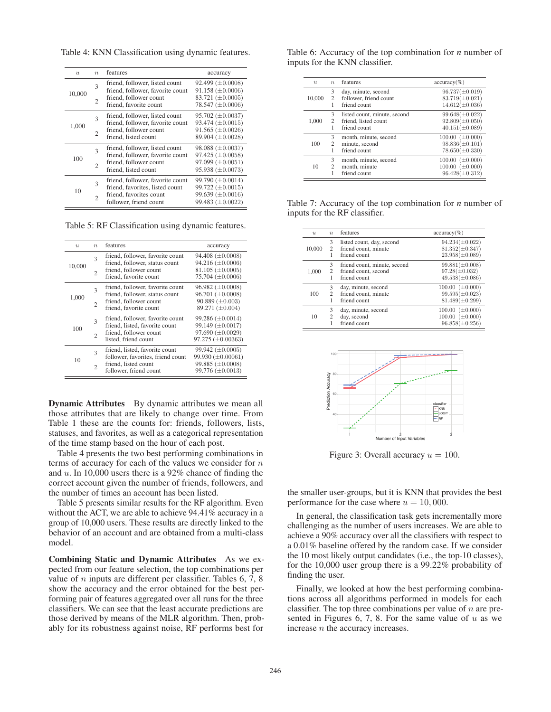Table 4: KNN Classification using dynamic features.

| $\overline{\mathcal{U}}$ | $\eta$ | features                                                            | accuracy                                           |
|--------------------------|--------|---------------------------------------------------------------------|----------------------------------------------------|
| 10,000                   | 3      | friend, follower, listed count<br>friend, follower, favorite count  | $92.499 \ (\pm 0.0008)$<br>$91.158 \ (\pm 0.0006)$ |
|                          | 2      | friend, follower count<br>friend, favorite count                    | 83.721 $(\pm 0.0005)$<br>78.547 $(\pm 0.0006)$     |
| 1,000                    | 3      | friend, follower, listed count<br>friend, follower, favorite count  | $95.702 (\pm 0.0037)$<br>93.474 $(\pm 0.0015)$     |
|                          | 2      | friend, follower count<br>friend, listed count                      | $91.565 \ (\pm 0.0026)$<br>$89.904 \ (\pm 0.0028)$ |
| 100                      | 3      | friend, follower, listed count<br>friend, follower, favorite count  | $98.088 \ (\pm 0.0037)$<br>97.425 $(\pm 0.0058)$   |
|                          | 2      | friend, follower count<br>friend, listed count                      | $97.099 \ (\pm 0.0051)$<br>$95.938 \ (\pm 0.0073)$ |
| 10                       | 3      | friend, follower, favorite count<br>friend, favorites, listed count | $99.790 \ (\pm 0.0014)$<br>$99.722 \ (\pm 0.0015)$ |
|                          | 2      | friend, favorites count<br>follower, friend count                   | $99.639 \ (\pm 0.0016)$<br>$99.483 \ (\pm 0.0022)$ |

Table 5: RF Classification using dynamic features.

| $\boldsymbol{u}$ | $\eta$         | features                          | accuracy                 |
|------------------|----------------|-----------------------------------|--------------------------|
| 10,000           | $\mathcal{R}$  | friend, follower, favorite count  | 94.408 $(\pm 0.0008)$    |
|                  |                | friend, follower, status count    | 94.216 $(\pm 0.0006)$    |
|                  | $\mathfrak{D}$ | friend, follower count            | 81.105 $(\pm 0.0005)$    |
|                  |                | friend, favorite count            | 75.704 $(\pm 0.0006)$    |
|                  | 3              | friend, follower, favorite count  | $96.982 \ (\pm 0.0008)$  |
| 1,000            |                | friend, follower, status count    | 96.701 (±0.0008)         |
|                  | $\overline{c}$ | friend, follower count            | $90.889 \ (\pm 0.003)$   |
|                  |                | friend, favorite count            | 89.271 $(\pm 0.004)$     |
|                  | 3              | friend, follower, favorite count  | $99.286 \ (\pm 0.0014)$  |
| 100              |                | friend, listed, favorite count    | 99.149 (±0.0017)         |
|                  | $\overline{c}$ | friend, follower count            | 97.690 $(\pm 0.0029)$    |
|                  |                | listed, friend count              | 97.275 ( $\pm 0.00363$ ) |
| 10               | $\mathbf{3}$   | friend, listed, favorite count    | 99.942 $(\pm 0.0005)$    |
|                  |                | follower, favorites, friend count | 99.930 (±0.00061)        |
|                  | $\mathfrak{D}$ | friend, listed count              | 99.885 (±0.0008)         |
|                  |                | follower, friend count            | $99.776 \ (\pm 0.0013)$  |
|                  |                |                                   |                          |

**Dynamic Attributes** By dynamic attributes we mean all those attributes that are likely to change over time. From Table 1 these are the counts for: friends, followers, lists, statuses, and favorites, as well as a categorical representation of the time stamp based on the hour of each post.

Table 4 presents the two best performing combinations in terms of accuracy for each of the values we consider for  $n$ and  $u$ . In 10,000 users there is a 92% chance of finding the correct account given the number of friends, followers, and the number of times an account has been listed.

Table 5 presents similar results for the RF algorithm. Even without the ACT, we are able to achieve 94.41% accuracy in a group of 10,000 users. These results are directly linked to the behavior of an account and are obtained from a multi-class model.

Combining Static and Dynamic Attributes As we expected from our feature selection, the top combinations per value of  $n$  inputs are different per classifier. Tables 6, 7, 8 show the accuracy and the error obtained for the best performing pair of features aggregated over all runs for the three classifiers. We can see that the least accurate predictions are those derived by means of the MLR algorithm. Then, probably for its robustness against noise, RF performs best for Table 6: Accuracy of the top combination for *n* number of inputs for the KNN classifier.

|        | $\overline{n}$ | features                                                             | $accuracy(\%)$                                                            |
|--------|----------------|----------------------------------------------------------------------|---------------------------------------------------------------------------|
| 10,000 | 3<br>2<br>1    | day, minute, second<br>follower, friend count<br>friend count        | $96.737(\pm 0.019)$<br>$83.719(\pm 0.021)$<br>$14.612(\pm 0.036)$         |
| 1.000  | 3<br>2<br>1    | listed count, minute, second<br>friend, listed count<br>friend count | $99.648(\pm0.022)$<br>$92.809(\pm 0.050)$<br>$40.151(\pm 0.089)$          |
| 100    | 3<br>2         | month, minute, second<br>minute, second<br>friend count              | $(\pm 0.000)$<br>100.00<br>$98.836(\pm 0.101)$<br>$78.650(\pm 0.330)$     |
| 10     | 3<br>2         | month, minute, second<br>month, minute<br>friend count               | $(\pm 0.000)$<br>100.00<br>$(\pm 0.000)$<br>100.00<br>$96.428(\pm 0.312)$ |

Table 7: Accuracy of the top combination for *n* number of inputs for the RF classifier.

| $\boldsymbol{u}$ | $\eta$      | features                                                             | $accuracy(\%)$                                                           |
|------------------|-------------|----------------------------------------------------------------------|--------------------------------------------------------------------------|
| 10,000           | 3<br>2      | listed count, day, second<br>friend count, minute<br>friend count    | $94.234(\pm 0.022)$<br>$81.352(\pm 0.347)$<br>$23.958(\pm 0.089)$        |
| 1.000            | 3<br>2      | friend count, minute, second<br>friend count, second<br>friend count | $99.881(\pm0.008)$<br>$97.28(\pm 0.032)$<br>$49.538(\pm0.086)$           |
| 100              | 3<br>2      | day, minute, second<br>friend count, minute<br>friend count          | $100.00 \ (\pm 0.000)$<br>$99.595(\pm 0.023)$<br>$81.489(\pm 0.299)$     |
| 10               | 3<br>2<br>1 | day, minute, second<br>day, second<br>friend count                   | $(\pm 0.000)$<br>100.00<br>$100.00 \ (\pm 0.000)$<br>$96.858(\pm 0.256)$ |



Figure 3: Overall accuracy  $u = 100$ .

the smaller user-groups, but it is KNN that provides the best performance for the case where  $u = 10,000$ .

In general, the classification task gets incrementally more challenging as the number of users increases. We are able to achieve a 90% accuracy over all the classifiers with respect to a 0.01% baseline offered by the random case. If we consider the 10 most likely output candidates (i.e., the top-10 classes), for the 10,000 user group there is a 99.22% probability of finding the user.

Finally, we looked at how the best performing combinations across all algorithms performed in models for each classifier. The top three combinations per value of  $n$  are presented in Figures 6, 7, 8. For the same value of  $u$  as we increase n the accuracy increases.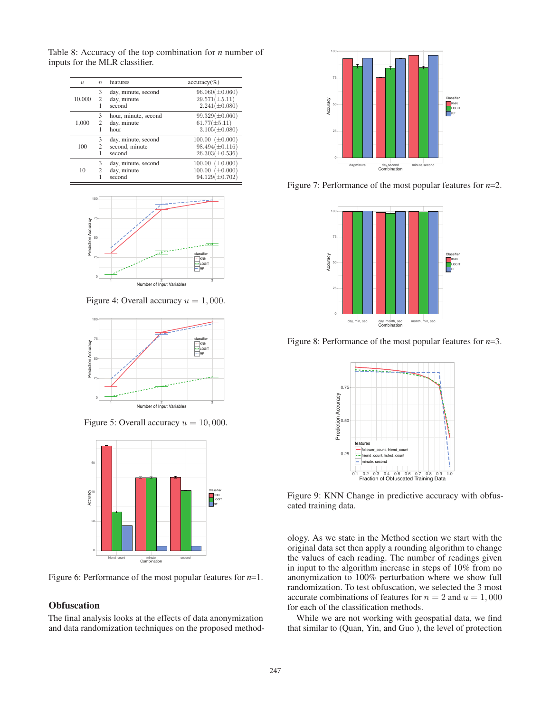Table 8: Accuracy of the top combination for *n* number of inputs for the MLR classifier.

| $\overline{\mathcal{U}}$ | $\eta$ | features                                        | $accuracy(\%)$                                                          |
|--------------------------|--------|-------------------------------------------------|-------------------------------------------------------------------------|
| 10,000                   | 3<br>2 | day, minute, second<br>day, minute<br>second    | $96.060(\pm 0.060)$<br>$29.571(\pm 5.11)$<br>$2.241(\pm 0.080)$         |
| 1,000                    | 3<br>2 | hour, minute, second<br>day, minute<br>hour     | $99.329(\pm 0.060)$<br>$61.77(\pm 5.11)$<br>$3.105(\pm 0.080)$          |
| 100                      | 3<br>2 | day, minute, second<br>second, minute<br>second | $100.00~(\pm 0.000)$<br>$98.494(\pm 0.116)$<br>$26.303(\pm 0.536)$      |
| 10                       | 3<br>2 | day, minute, second<br>day, minute<br>second    | $100.00 \ (\pm 0.000)$<br>$100.00 \ (\pm 0.000)$<br>$94.129(\pm 0.702)$ |



Figure 4: Overall accuracy  $u = 1,000$ .



Figure 5: Overall accuracy  $u = 10,000$ .



Figure 6: Performance of the most popular features for *n*=1.

# **Obfuscation**

The final analysis looks at the effects of data anonymization and data randomization techniques on the proposed method-



Figure 7: Performance of the most popular features for *n*=2.



Figure 8: Performance of the most popular features for *n*=3.



Figure 9: KNN Change in predictive accuracy with obfuscated training data.

ology. As we state in the Method section we start with the original data set then apply a rounding algorithm to change the values of each reading. The number of readings given in input to the algorithm increase in steps of 10% from no anonymization to 100% perturbation where we show full randomization. To test obfuscation, we selected the 3 most accurate combinations of features for  $n = 2$  and  $u = 1,000$ for each of the classification methods.

While we are not working with geospatial data, we find that similar to (Quan, Yin, and Guo ), the level of protection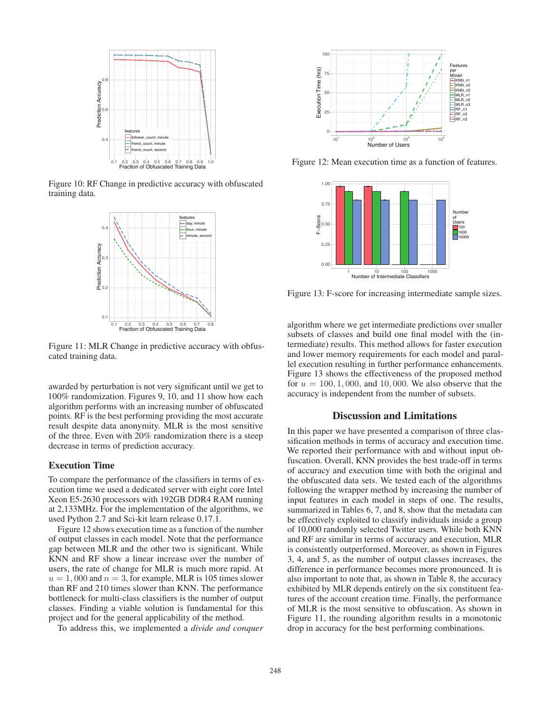

Figure 10: RF Change in predictive accuracy with obfuscated training data.



Figure 11: MLR Change in predictive accuracy with obfuscated training data.

awarded by perturbation is not very significant until we get to 100% randomization. Figures 9, 10, and 11 show how each algorithm performs with an increasing number of obfuscated points. RF is the best performing providing the most accurate result despite data anonymity. MLR is the most sensitive of the three. Even with 20% randomization there is a steep decrease in terms of prediction accuracy.

### Execution Time

To compare the performance of the classifiers in terms of execution time we used a dedicated server with eight core Intel Xeon E5-2630 processors with 192GB DDR4 RAM running at 2,133MHz. For the implementation of the algorithms, we used Python 2.7 and Sci-kit learn release 0.17.1.

Figure 12 shows execution time as a function of the number of output classes in each model. Note that the performance gap between MLR and the other two is significant. While KNN and RF show a linear increase over the number of users, the rate of change for MLR is much more rapid. At  $u = 1,000$  and  $n = 3$ , for example, MLR is 105 times slower than RF and 210 times slower than KNN. The performance bottleneck for multi-class classifiers is the number of output classes. Finding a viable solution is fundamental for this project and for the general applicability of the method.

To address this, we implemented a *divide and conquer*



Figure 12: Mean execution time as a function of features.



Figure 13: F-score for increasing intermediate sample sizes.

algorithm where we get intermediate predictions over smaller subsets of classes and build one final model with the (intermediate) results. This method allows for faster execution and lower memory requirements for each model and parallel execution resulting in further performance enhancements. Figure 13 shows the effectiveness of the proposed method for  $u = 100, 1,000$ , and 10,000. We also observe that the accuracy is independent from the number of subsets.

### Discussion and Limitations

In this paper we have presented a comparison of three classification methods in terms of accuracy and execution time. We reported their performance with and without input obfuscation. Overall, KNN provides the best trade-off in terms of accuracy and execution time with both the original and the obfuscated data sets. We tested each of the algorithms following the wrapper method by increasing the number of input features in each model in steps of one. The results, summarized in Tables 6, 7, and 8, show that the metadata can be effectively exploited to classify individuals inside a group of 10,000 randomly selected Twitter users. While both KNN and RF are similar in terms of accuracy and execution, MLR is consistently outperformed. Moreover, as shown in Figures 3, 4, and 5, as the number of output classes increases, the difference in performance becomes more pronounced. It is also important to note that, as shown in Table 8, the accuracy exhibited by MLR depends entirely on the six constituent features of the account creation time. Finally, the performance of MLR is the most sensitive to obfuscation. As shown in Figure 11, the rounding algorithm results in a monotonic drop in accuracy for the best performing combinations.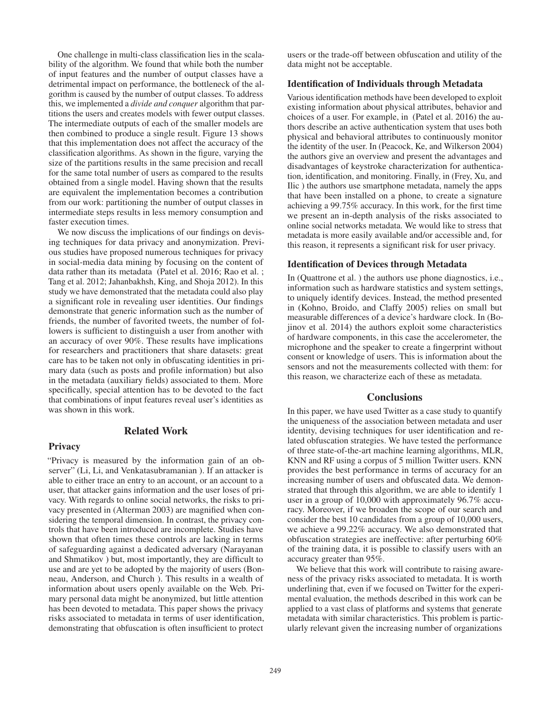One challenge in multi-class classification lies in the scalability of the algorithm. We found that while both the number of input features and the number of output classes have a detrimental impact on performance, the bottleneck of the algorithm is caused by the number of output classes. To address this, we implemented a *divide and conquer* algorithm that partitions the users and creates models with fewer output classes. The intermediate outputs of each of the smaller models are then combined to produce a single result. Figure 13 shows that this implementation does not affect the accuracy of the classification algorithms. As shown in the figure, varying the size of the partitions results in the same precision and recall for the same total number of users as compared to the results obtained from a single model. Having shown that the results are equivalent the implementation becomes a contribution from our work: partitioning the number of output classes in intermediate steps results in less memory consumption and faster execution times.

We now discuss the implications of our findings on devising techniques for data privacy and anonymization. Previous studies have proposed numerous techniques for privacy in social-media data mining by focusing on the content of data rather than its metadata (Patel et al. 2016; Rao et al. ; Tang et al. 2012; Jahanbakhsh, King, and Shoja 2012). In this study we have demonstrated that the metadata could also play a significant role in revealing user identities. Our findings demonstrate that generic information such as the number of friends, the number of favorited tweets, the number of followers is sufficient to distinguish a user from another with an accuracy of over 90%. These results have implications for researchers and practitioners that share datasets: great care has to be taken not only in obfuscating identities in primary data (such as posts and profile information) but also in the metadata (auxiliary fields) associated to them. More specifically, special attention has to be devoted to the fact that combinations of input features reveal user's identities as was shown in this work.

### Related Work

## **Privacy**

"Privacy is measured by the information gain of an observer" (Li, Li, and Venkatasubramanian ). If an attacker is able to either trace an entry to an account, or an account to a user, that attacker gains information and the user loses of privacy. With regards to online social networks, the risks to privacy presented in (Alterman 2003) are magnified when considering the temporal dimension. In contrast, the privacy controls that have been introduced are incomplete. Studies have shown that often times these controls are lacking in terms of safeguarding against a dedicated adversary (Narayanan and Shmatikov ) but, most importantly, they are difficult to use and are yet to be adopted by the majority of users (Bonneau, Anderson, and Church ). This results in a wealth of information about users openly available on the Web. Primary personal data might be anonymized, but little attention has been devoted to metadata. This paper shows the privacy risks associated to metadata in terms of user identification, demonstrating that obfuscation is often insufficient to protect users or the trade-off between obfuscation and utility of the data might not be acceptable.

### Identification of Individuals through Metadata

Various identification methods have been developed to exploit existing information about physical attributes, behavior and choices of a user. For example, in (Patel et al. 2016) the authors describe an active authentication system that uses both physical and behavioral attributes to continuously monitor the identity of the user. In (Peacock, Ke, and Wilkerson 2004) the authors give an overview and present the advantages and disadvantages of keystroke characterization for authentication, identification, and monitoring. Finally, in (Frey, Xu, and Ilic ) the authors use smartphone metadata, namely the apps that have been installed on a phone, to create a signature achieving a 99.75% accuracy. In this work, for the first time we present an in-depth analysis of the risks associated to online social networks metadata. We would like to stress that metadata is more easily available and/or accessible and, for this reason, it represents a significant risk for user privacy.

#### Identification of Devices through Metadata

In (Quattrone et al. ) the authors use phone diagnostics, i.e., information such as hardware statistics and system settings, to uniquely identify devices. Instead, the method presented in (Kohno, Broido, and Claffy 2005) relies on small but measurable differences of a device's hardware clock. In (Bojinov et al. 2014) the authors exploit some characteristics of hardware components, in this case the accelerometer, the microphone and the speaker to create a fingerprint without consent or knowledge of users. This is information about the sensors and not the measurements collected with them: for this reason, we characterize each of these as metadata.

### **Conclusions**

In this paper, we have used Twitter as a case study to quantify the uniqueness of the association between metadata and user identity, devising techniques for user identification and related obfuscation strategies. We have tested the performance of three state-of-the-art machine learning algorithms, MLR, KNN and RF using a corpus of 5 million Twitter users. KNN provides the best performance in terms of accuracy for an increasing number of users and obfuscated data. We demonstrated that through this algorithm, we are able to identify 1 user in a group of 10,000 with approximately 96.7% accuracy. Moreover, if we broaden the scope of our search and consider the best 10 candidates from a group of 10,000 users, we achieve a 99.22% accuracy. We also demonstrated that obfuscation strategies are ineffective: after perturbing 60% of the training data, it is possible to classify users with an accuracy greater than 95%.

We believe that this work will contribute to raising awareness of the privacy risks associated to metadata. It is worth underlining that, even if we focused on Twitter for the experimental evaluation, the methods described in this work can be applied to a vast class of platforms and systems that generate metadata with similar characteristics. This problem is particularly relevant given the increasing number of organizations